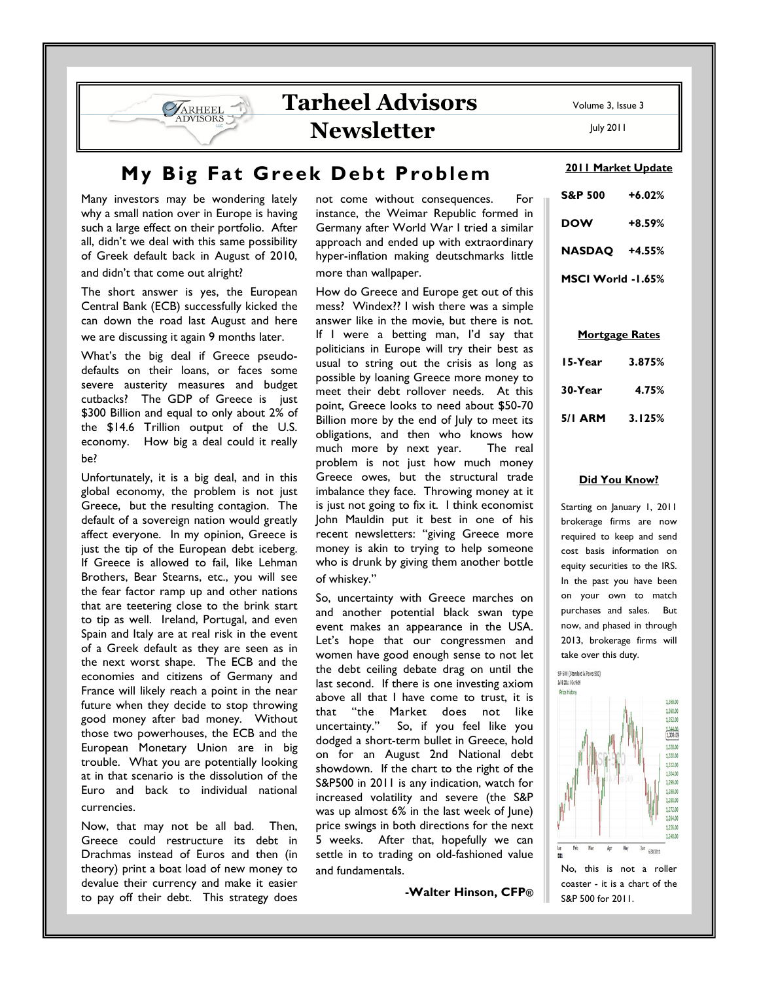# Tarheel Advisors Newsletter

My Big Fat Greek Debt Problem

Many investors may be wondering lately why a small nation over in Europe is having such a large effect on their portfolio. After all, didn't we deal with this same possibility of Greek default back in August of 2010, and didn't that come out alright?

**VARHEEL DVISORS** 

The short answer is yes, the European Central Bank (ECB) successfully kicked the can down the road last August and here we are discussing it again 9 months later.

What's the big deal if Greece pseudodefaults on their loans, or faces some severe austerity measures and budget cutbacks? The GDP of Greece is just \$300 Billion and equal to only about 2% of the \$14.6 Trillion output of the U.S. economy. How big a deal could it really be?

Unfortunately, it is a big deal, and in this global economy, the problem is not just Greece, but the resulting contagion. The default of a sovereign nation would greatly affect everyone. In my opinion, Greece is just the tip of the European debt iceberg. If Greece is allowed to fail, like Lehman Brothers, Bear Stearns, etc., you will see the fear factor ramp up and other nations that are teetering close to the brink start to tip as well. Ireland, Portugal, and even Spain and Italy are at real risk in the event of a Greek default as they are seen as in the next worst shape. The ECB and the economies and citizens of Germany and France will likely reach a point in the near future when they decide to stop throwing good money after bad money. Without those two powerhouses, the ECB and the European Monetary Union are in big trouble. What you are potentially looking at in that scenario is the dissolution of the Euro and back to individual national currencies.

Now, that may not be all bad. Then, Greece could restructure its debt in Drachmas instead of Euros and then (in theory) print a boat load of new money to devalue their currency and make it easier to pay off their debt. This strategy does

not come without consequences. For instance, the Weimar Republic formed in Germany after World War I tried a similar approach and ended up with extraordinary hyper-inflation making deutschmarks little more than wallpaper.

How do Greece and Europe get out of this mess? Windex?? I wish there was a simple answer like in the movie, but there is not. If I were a betting man, I'd say that politicians in Europe will try their best as usual to string out the crisis as long as possible by loaning Greece more money to meet their debt rollover needs. At this point, Greece looks to need about \$50-70 Billion more by the end of July to meet its obligations, and then who knows how much more by next year. The real problem is not just how much money Greece owes, but the structural trade imbalance they face. Throwing money at it is just not going to fix it. I think economist John Mauldin put it best in one of his recent newsletters: "giving Greece more money is akin to trying to help someone who is drunk by giving them another bottle of whiskey."

So, uncertainty with Greece marches on and another potential black swan type event makes an appearance in the USA. Let's hope that our congressmen and women have good enough sense to not let the debt ceiling debate drag on until the last second. If there is one investing axiom above all that I have come to trust, it is that "the Market does not like<br>uncertainty." So, if you feel like you So, if you feel like you dodged a short-term bullet in Greece, hold on for an August 2nd National debt showdown. If the chart to the right of the S&P500 in 2011 is any indication, watch for increased volatility and severe (the S&P was up almost 6% in the last week of June) price swings in both directions for the next 5 weeks. After that, hopefully we can settle in to trading on old-fashioned value and fundamentals.

-Walter Hinson, CFP®

Volume 3, Issue 3

July 2011

#### 2011 Market Update

| <b>S&amp;P 500</b> | $+6.02%$ |
|--------------------|----------|
| <b>DOW</b>         | +8.59%   |
| <b>NASDAO</b>      | +4.55%   |
| MSCI World -1.65%  |          |

Mortgage Rates

| 15-Year        | 3.875% |  |
|----------------|--------|--|
| 30-Year        | 4.75%  |  |
| <b>5/1 ARM</b> | 3.125% |  |

#### Did You Know?

Starting on January 1, 2011 brokerage firms are now required to keep and send cost basis information on equity securities to the IRS. In the past you have been on your own to match purchases and sales. But now, and phased in through 2013, brokerage firms will take over this duty.



No, this is not a roller coaster - it is a chart of the S&P 500 for 2011.